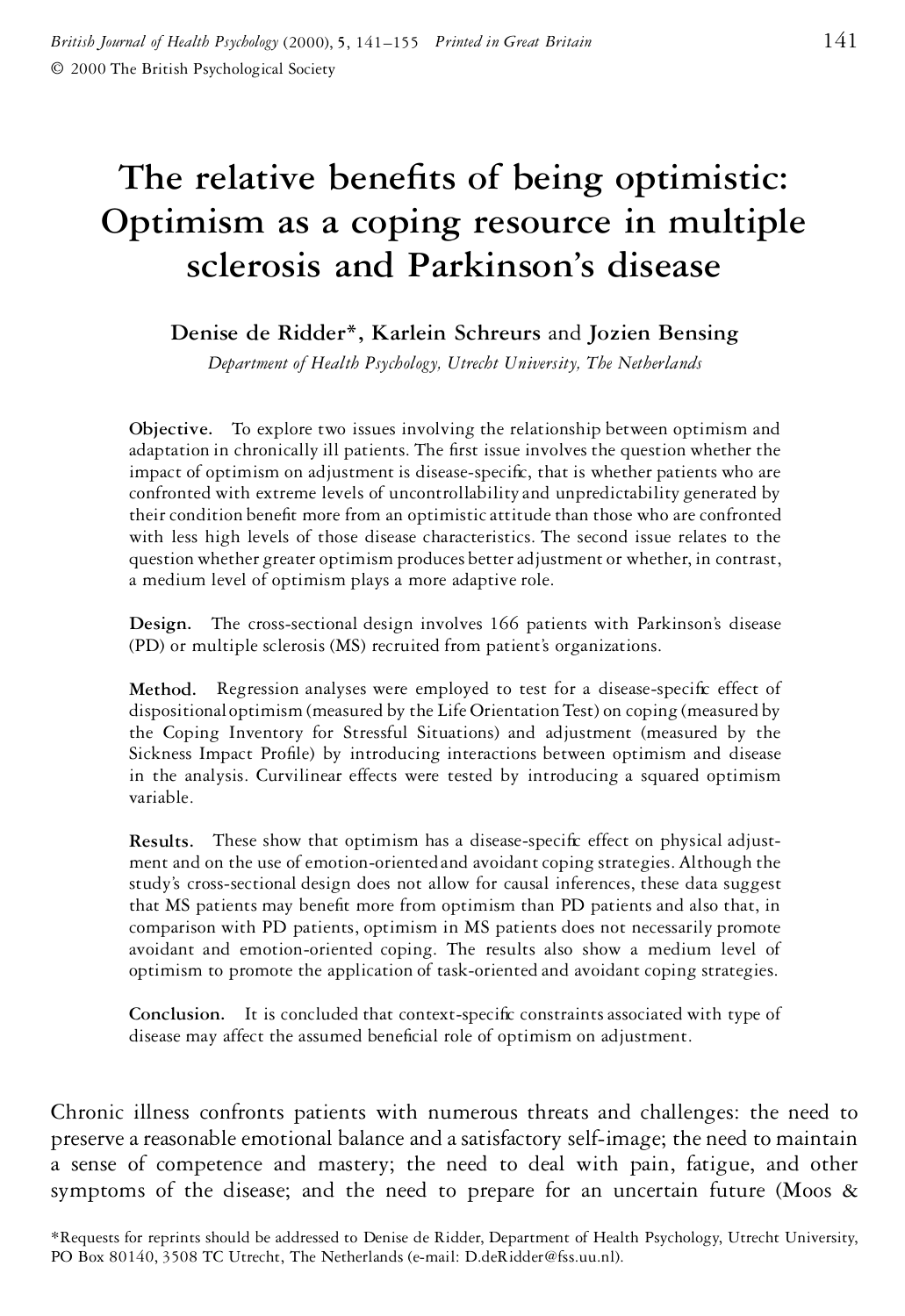# **The relative benets of being optimistic: Optimism as a coping resource in multiple sclerosis and Parkinson's disease**

**Denise de Ridder\*, Karlein Schreurs** and **Jozien Bensing**

*Department of Health Psychology, Utrecht University, The Netherlands*

**Objective.** To explore two issues involving the relationship between optimism and adaptation in chronically ill patients. The first issue involves the question whether the impact of optimism on adjustment is disease-specific, that is whether patients who are confronted with extreme levels of uncontrollability and unpredictability generated by their condition benefit more from an optimistic attitude than those who are confronted with less high levels of those disease characteristics. The second issue relates to the question whether greater optimism produces betteradjustment or whether, in contrast, a medium level of optimism plays a more adaptive role.

**Design.** The cross-sectional design involves 166 patients with Parkinson's disease (PD) or multiple sclerosis (MS) recruited from patient's organizations.

Method. Regression analyses were employed to test for a disease-specific effect of dispositional optimism (measured by the Life OrientationTest) on coping (measured by the Coping Inventory for Stressful Situations) and adjustment (measured by the Sickness Impact Profile) by introducing interactions between optimism and disease in the analysis. Curvilinear effects were tested by introducing a squared optimism variable.

**Results.** These show that optimism has a disease-specific effect on physical adjustment and on the use of emotion-oriented and avoidant coping strategies. Although the study's cross-sectional design does not allow for causal inferences, these data suggest that MS patients may benefit more from optimism than PD patients and also that, in comparison with PD patients, optimism in MS patients does not necessarily promote avoidant and emotion-oriented coping. The results also show a medium level of optimism to promote the application of task-oriented and avoidant coping strategies.

**Conclusion.** It is concluded that context-specific constraints associated with type of disease may affect the assumed beneficial role of optimism on adjustment.

Chronic illness confronts patients with numerous threats and challenges: the need to preserve areasonable emotional balance and asatisfactory self-image; the need to maintain a sense of competence and mastery; the need to deal with pain, fatigue, and other symptoms of the disease; and the need to prepare for an uncertain future (Moos &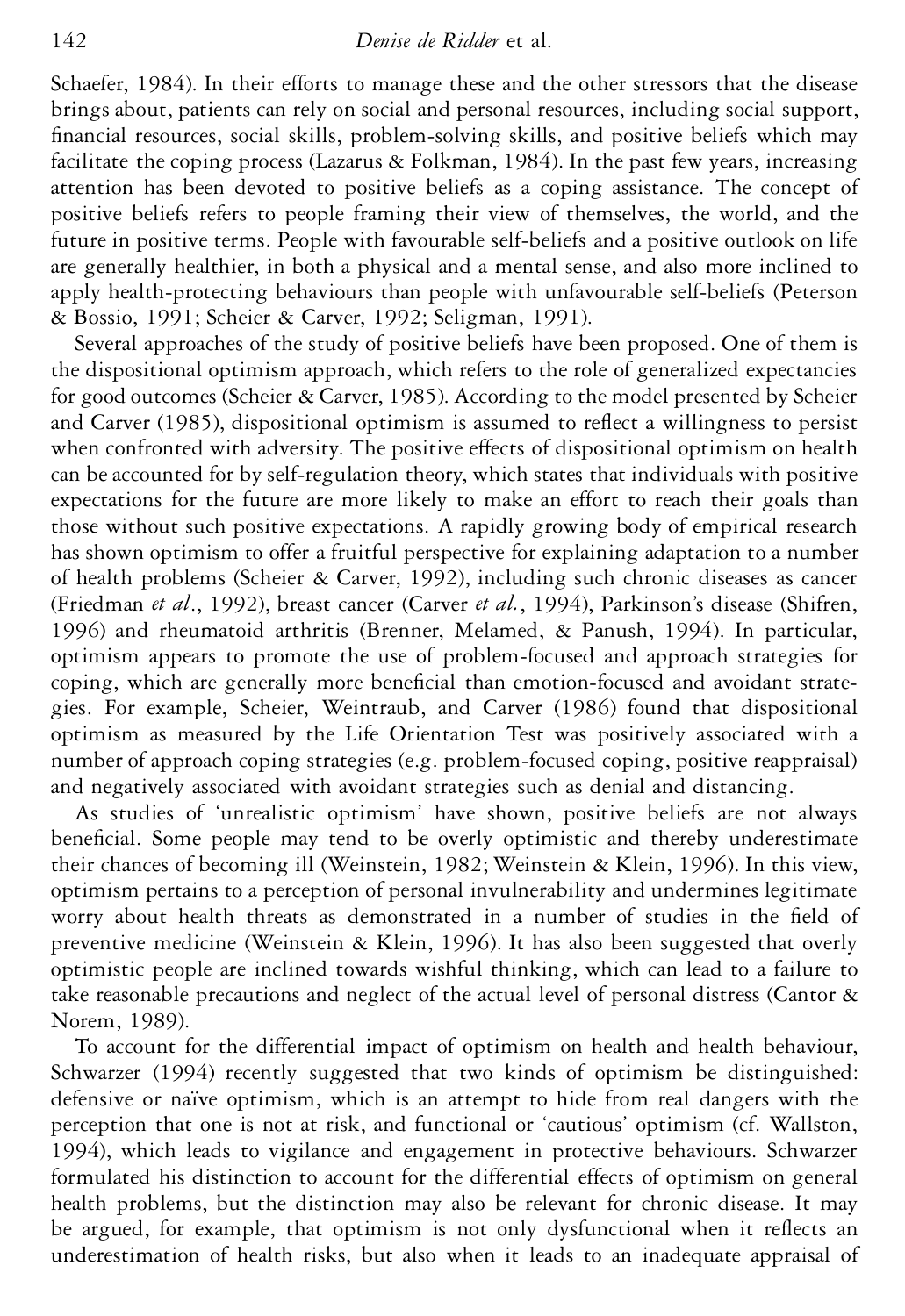Schaefer, 1984). In their efforts to manage these and the other stressors that the disease brings about, patients can rely on social and personal resources, including social support, nancial resources, social skills, problem-solving skills, and positive beliefs which may facilitate the coping process (Lazarus & Folkman, 1984). In the past few years, increasing attention has been devoted to positive beliefs as a coping assistance. The concept of positive beliefs refers to people framing their view of themselves, the world, and the future in positive terms. People with favourable self-beliefs and a positive outlook on life are generally healthier, in both a physical and a mental sense, and also more inclined to apply health-protecting behaviours than people with unfavourable self-beliefs (Peterson & Bossio, 1991; Scheier & Carver, 1992; Seligman, 1991).

Several approaches of the study of positive beliefs have been proposed. One of them is the dispositional optimism approach, which refers to the role of generalized expectancies for good outcomes (Scheier & Carver, 1985). According to the model presented by Scheier and Carver (1985), dispositional optimism is assumed to reflect a willingness to persist when confronted with adversity. The positive effects of dispositional optimism on health can be accounted for by self-regulation theory, which states that individuals with positive expectations for the future are more likely to make an effort to reach their goals than those without such positive expectations. A rapidly growing body of empirical research has shown optimism to offer a fruitful perspective for explaining adaptation to a number of health problems (Scheier & Carver, 1992), including such chronic diseases as cancer (Friedman *et al*., 1992), breast cancer (Carver *et al.*, 1994), Parkinson's disease (Shifren, 1996) and rheumatoid arthritis (Brenner, Melamed, & Panush, 1994). In particular, optimism appears to promote the use of problem-focused and approach strategies for coping, which are generally more beneficial than emotion-focused and avoidant strategies. For example, Scheier, Weintraub, and Carver (1986) found that dispositional optimism as measured by the Life Orientation Test was positively associated with a number of approach coping strategies (e.g. problem-focused coping, positive reappraisal) and negatively associated with avoidant strategies such as denial and distancing.

As studies of 'unrealistic optimism' have shown, positive beliefs are not always beneficial. Some people may tend to be overly optimistic and thereby underestimate their chances of becoming ill (Weinstein, 1982; Weinstein & Klein, 1996). In this view, optimism pertains to a perception of personal invulnerability and undermines legitimate worry about health threats as demonstrated in a number of studies in the field of preventive medicine (Weinstein & Klein, 1996). It has also been suggested that overly optimistic people are inclined towards wishful thinking, which can lead to a failure to take reasonable precautions and neglect of the actual level of personal distress (Cantor & Norem, 1989).

To account for the differential impact of optimism on health and health behaviour, Schwarzer (1994) recently suggested that two kinds of optimism be distinguished: defensive or naïve optimism, which is an attempt to hide from real dangers with the perception that one is not at risk, and functional or 'cautious' optimism (cf. Wallston, 1994), which leads to vigilance and engagement in protective behaviours. Schwarzer formulated his distinction to account for the differential effects of optimism on general health problems, but the distinction may also be relevant for chronic disease. It may be argued, for example, that optimism is not only dysfunctional when it reflects an underestimation of health risks, but also when it leads to an inadequate appraisal of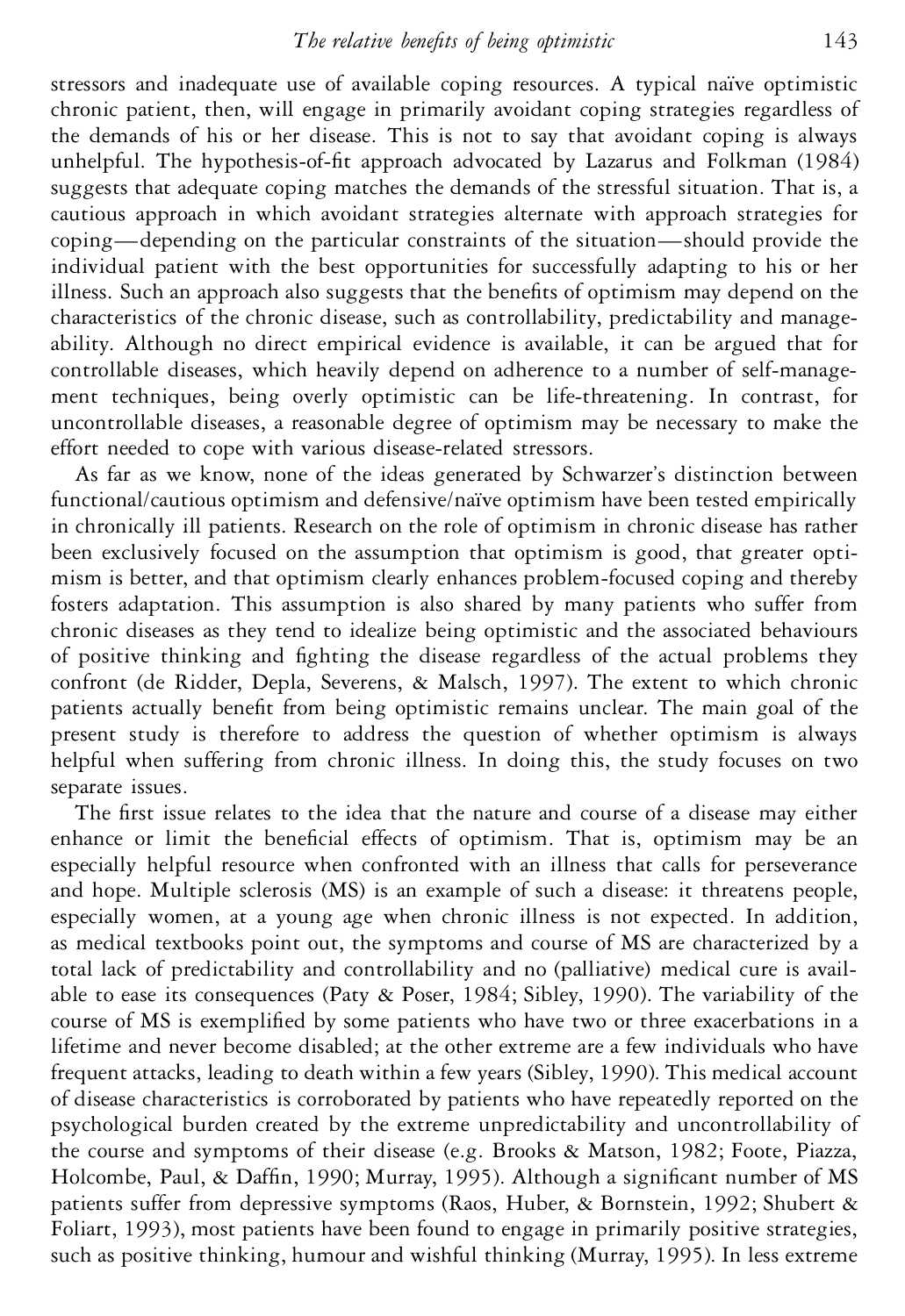stressors and inadequate use of available coping resources. A typical naïve optimistic chronic patient, then, will engage in primarily avoidant coping strategies regardless of the demands of his or her disease. This is not to say that avoidant coping is always unhelpful. The hypothesis-of-fit approach advocated by Lazarus and Folkman (1984) suggests that adequate coping matches the demands of the stressful situation. That is, a cautious approach in which avoidant strategies alternate with approach strategies for coping—depending on the particular constraints of the situation—should provide the individual patient with the best opportunities for successfully adapting to his or her illness. Such an approach also suggests that the benefits of optimism may depend on the characteristics of the chronic disease, such as controllability, predictability and manageability. Although no direct empirical evidence is available, it can be argued that for controllable diseases, which heavily depend on adherence to a number of self-management techniques, being overly optimistic can be life-threatening. In contrast, for uncontrollable diseases, a reasonable degree of optimism may be necessary to make the effort needed to cope with various disease-related stressors.

As far as we know, none of the ideas generated by Schwarzer's distinction between functional/cautious optimism and defensive/naïve optimism have been tested empirically in chronically ill patients. Research on the role of optimism in chronic disease has rather been exclusively focused on the assumption that optimism is good, that greater optimism is better, and that optimism clearly enhances problem-focused coping and thereby fosters adaptation. This assumption is also shared by many patients who suffer from chronic diseases as they tend to idealize being optimistic and the associated behaviours of positive thinking and fighting the disease regardless of the actual problems they confront (de Ridder, Depla, Severens, & Malsch, 1997). The extent to which chronic patients actually benefit from being optimistic remains unclear. The main goal of the present study is therefore to address the question of whether optimism is always helpful when suffering from chronic illness. In doing this, the study focuses on two separate issues.

The first issue relates to the idea that the nature and course of a disease may either enhance or limit the beneficial effects of optimism. That is, optimism may be an especially helpful resource when confronted with an illness that calls for perseverance and hope. Multiple sclerosis (MS) is an example of such a disease: it threatens people, especially women, at a young age when chronic illness is not expected. In addition, as medical textbooks point out, the symptoms and course of MS are characterized by a total lack of predictability and controllability and no (palliative) medical cure is available to ease its consequences (Paty & Poser, 1984; Sibley, 1990). The variability of the course of MS is exemplified by some patients who have two or three exacerbations in a lifetime and never become disabled; at the other extreme are a few individuals who have frequent attacks, leading to death within a few years (Sibley, 1990). This medical account of disease characteristics is corroborated by patients who have repeatedly reported on the psychological burden created by the extreme unpredictability and uncontrollability of the course and symptoms of their disease (e.g. Brooks & Matson, 1982; Foote, Piazza, Holcombe, Paul, & Daffin, 1990; Murray, 1995). Although a significant number of MS patients suffer from depressive symptoms (Raos, Huber, & Bornstein, 1992; Shubert & Foliart, 1993), most patients have been found to engage in primarily positive strategies, such as positive thinking, humour and wishful thinking (Murray, 1995). In less extreme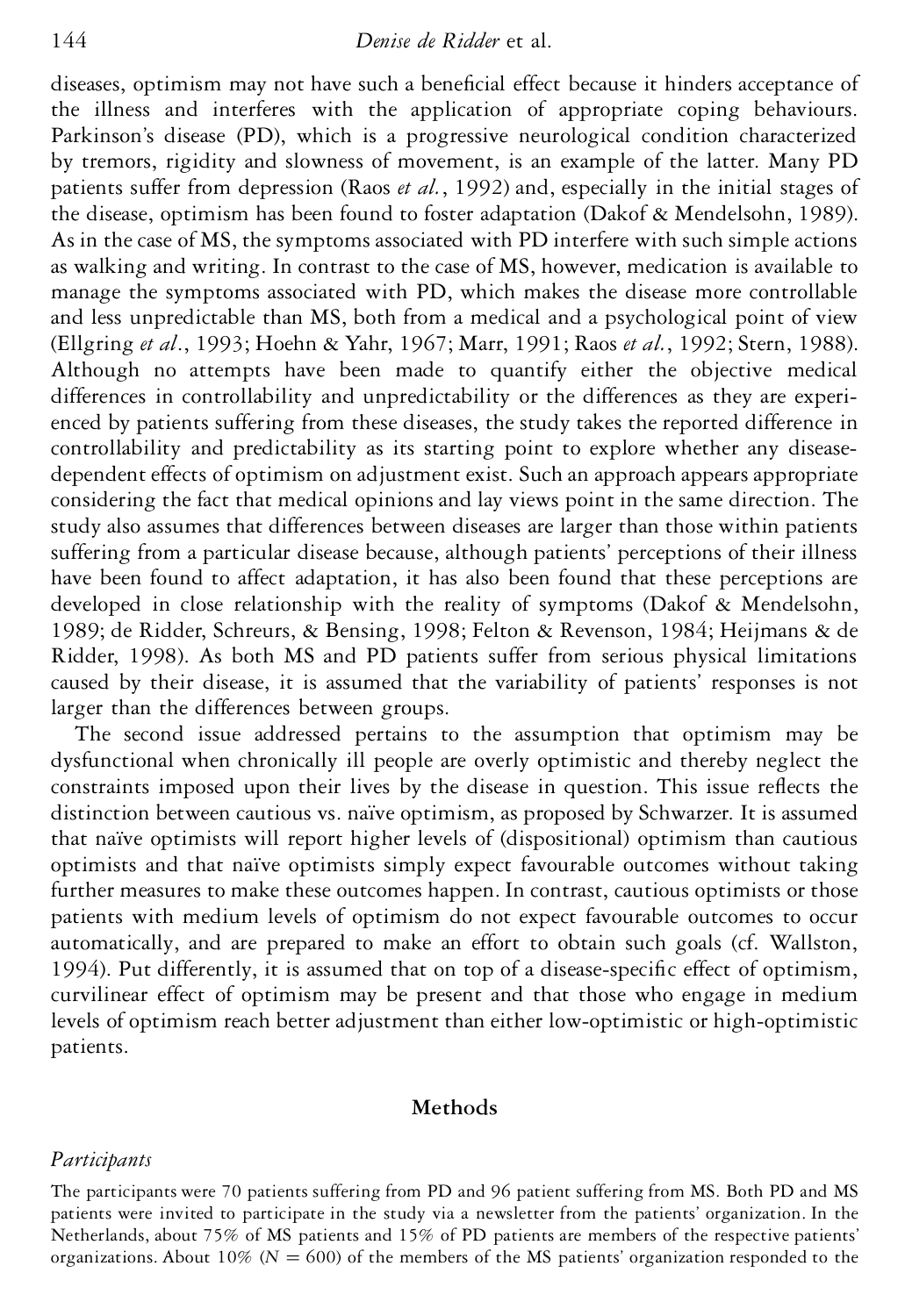diseases, optimism may not have such a beneficial effect because it hinders acceptance of the illness and interferes with the application of appropriate coping behaviours. Parkinson's disease (PD), which is a progressive neurological condition characterized by tremors, rigidity and slowness of movement, is an example of the latter. Many PD patients suffer from depression (Raos *et al.*, 1992) and, especially in the initial stages of the disease, optimism has been found to foster adaptation (Dakof & Mendelsohn, 1989). As in the case of MS, the symptoms associated with PD interfere with such simple actions as walking and writing. In contrast to the case of MS, however, medication is available to manage the symptoms associated with PD, which makes the disease more controllable and less unpredictable than MS, both from a medical and a psychological point of view (Ellgring *et al*., 1993; Hoehn & Yahr, 1967; Marr, 1991; Raos *et al.*, 1992; Stern, 1988). Although no attempts have been made to quantify either the objective medical differences in controllability and unpredictability or the differences as they are experienced by patients suffering from these diseases, the study takes the reported difference in controllability and predictability as its starting point to explore whether any diseasedependent effects of optimism on adjustment exist. Such an approach appears appropriate considering the fact that medical opinions and lay views point in the same direction. The study also assumes that differences between diseases are larger than those within patients suffering from a particular disease because, although patients' perceptions of their illness have been found to affect adaptation, it has also been found that these perceptions are developed in close relationship with the reality of symptoms (Dakof & Mendelsohn, 1989; de Ridder, Schreurs, & Bensing, 1998; Felton & Revenson, 1984; Heijmans & de Ridder, 1998). As both MS and PD patients suffer from serious physical limitations caused by their disease, it is assumed that the variability of patients' responses is not larger than the differences between groups.

The second issue addressed pertains to the assumption that optimism may be dysfunctional when chronically ill people are overly optimistic and thereby neglect the constraints imposed upon their lives by the disease in question. This issue reflects the distinction between cautious vs. naïve optimism, as proposed by Schwarzer. It is assumed that naïve optimists will report higher levels of (dispositional) optimism than cautious optimists and that naïve optimists simply expect favourable outcomes without taking further measures to make these outcomes happen. In contrast, cautious optimists or those patients with medium levels of optimism do not expect favourable outcomes to occur automatically, and are prepared to make an effort to obtain such goals (cf. Wallston, 1994). Put differently, it is assumed that on top of a disease-specific effect of optimism, curvilinear effect of optimism may be present and that those who engage in medium levels of optimism reach better adjustment than either low-optimistic or high-optimistic patients.

## **Methods**

### *Participants*

The participants were 70 patients suffering from PD and 96 patient suffering from MS. Both PD and MS patients were invited to participate in the study via a newsletter from the patients' organization. In the Netherlands, about 75% of MS patients and 15% of PD patients are members of the respective patients' organizations. About  $10\%$  ( $N = 600$ ) of the members of the MS patients' organization responded to the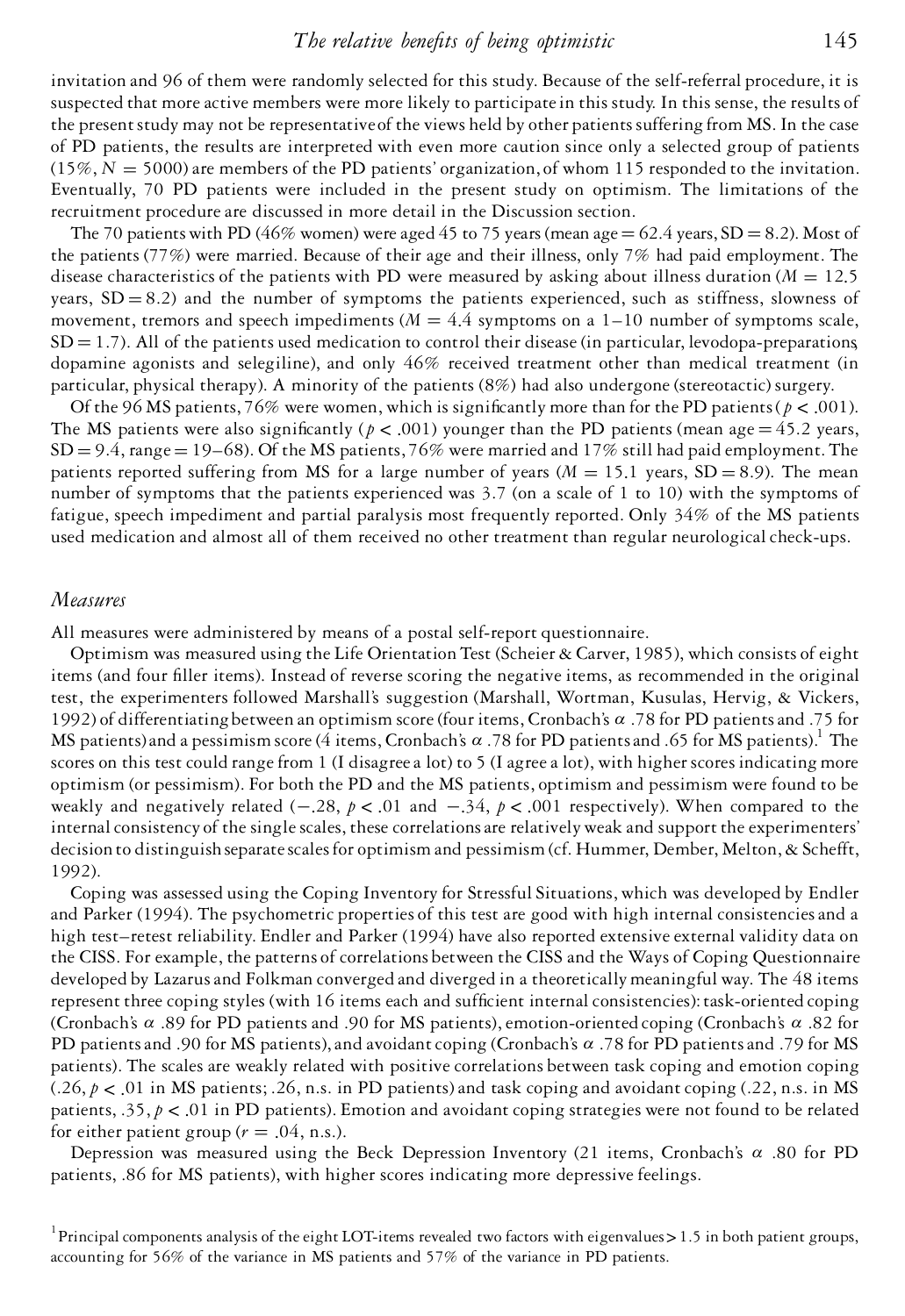## *The relative benefits of being optimistic* 145

invitation and 96 of them were randomly selected for this study. Because of the self-referral procedure, it is suspected that more active members were more likely to participatein this study. In this sense, the results of the presentstudy may not be representativeof the views held by other patientssuffering from MS. In the case of PD patients, the results are interpreted with even more caution since only a selected group of patients  $(15\%, N = 5000)$  are members of the PD patients' organization, of whom 115 responded to the invitation. Eventually, 70 PD patients were included in the present study on optimism. The limitations of the recruitment procedure are discussed in more detail in the Discussion section.

The 70 patients with PD (46% women) were aged 45 to 75 years (mean age  $= 62.4$  years, SD  $= 8.2$ ). Most of the patients (77%) were married. Because of their age and their illness, only 7% had paid employment. The disease characteristics of the patients with PD were measured by asking about illness duration ( $M = 12.5$ ) years,  $SD = 8.2$ ) and the number of symptoms the patients experienced, such as stiffness, slowness of movement, tremors and speech impediments ( $M = 4.4$  symptoms on a  $1-10$  number of symptoms scale,  $SD = 1.7$ ). All of the patients used medication to control their disease (in particular, levodopa-preparations dopamine agonists and selegiline), and only 46% received treatment other than medical treatment (in particular, physical therapy). A minority of the patients (8%) had also undergone (stereotactic) surgery.

Of the 96 MS patients, 76% were women, which is significantly more than for the PD patients ( $p < .001$ ). The MS patients were also significantly ( $p < .001$ ) younger than the PD patients (mean age = 45.2 years,  $SD = 9.4$ , range = 19–68). Of the MS patients, 76% were married and 17% still had paid employment. The patients reported suffering from MS for a large number of years ( $M = 15.1$  years,  $SD = 8.9$ ). The mean number of symptoms that the patients experienced was 3.7 (on a scale of 1 to 10) with the symptoms of fatigue, speech impediment and partial paralysis most frequently reported. Only 34% of the MS patients used medication and almost all of them received no other treatment than regular neurological check-ups.

#### *Measures*

All measures were administered by means of a postal self-report questionnaire.

Optimism was measured using the Life Orientation Test (Scheier & Carver, 1985), which consists of eight items (and four filler items). Instead of reverse scoring the negative items, as recommended in the original test, the experimenters followed Marshall's suggestion (Marshall, Wortman, Kusulas, Hervig, & Vickers, 1992) of differentiatingbetween an optimism score(four items, Cronbach's *a* .78 for PD patientsand .75 for MS patients)and a pessimism score (4 items, Cronbach's  $\alpha$ .78 for PD patients and .65 for MS patients).<sup>1</sup> The scores on this test could range from 1 (I disagree a lot) to 5 (I agree a lot), with higher scores indicating more optimism (or pessimism). For both the PD and the MS patients, optimism and pessimism were found to be weakly and negatively related  $(-.28, p < .01$  and  $-.34, p < .001$  respectively). When compared to the internal consistency of the single scales, these correlations are relatively weak and support the experimenters' decision to distinguish separate scales for optimism and pessimism (cf. Hummer, Dember, Melton, & Schefft, 1992).

Coping was assessed using the Coping Inventory for Stressful Situations, which was developed by Endler and Parker (1994). The psychometric properties of this test are good with high internal consistenciesand a high test–retest reliability. Endler and Parker (1994) have also reported extensive external validity data on the CISS. For example, the patterns of correlations between the CISS and the Ways of Coping Questionnaire developed by Lazarusand Folkman converged and diverged in a theoreticallymeaningful way. The 48 items represent three coping styles (with 16 items each and sufficient internal consistencies): task-oriented coping (Cronbach's *a* .89 for PD patients and .90 for MS patients),emotion-oriented coping (Cronbach's *a* .82 for PD patientsand .90 for MS patients),and avoidantcoping (Cronbach's *a* .78 for PD patientsand .79 for MS patients). The scales are weakly related with positive correlations between task coping and emotion coping  $(.26, p < .01$  in MS patients; .26, n.s. in PD patients) and task coping and avoidant coping  $(.22, n.s.$  in MS patients, .35, *p* < .01 in PD patients). Emotion and avoidant coping strategies were not found to be related for either patient group  $(r = .04, n.s.).$ 

Depression was measured using the Beck Depression Inventory (21 items, Cronbach's *a* .80 for PD patients, .86 for MS patients), with higher scores indicating more depressive feelings.

<sup>1</sup>Principal components analysis of the eight LOT-items revealed two factors with eigenvalues> 1.5 in both patient groups, accounting for 56% of the variance in MS patients and 57% of the variance in PD patients.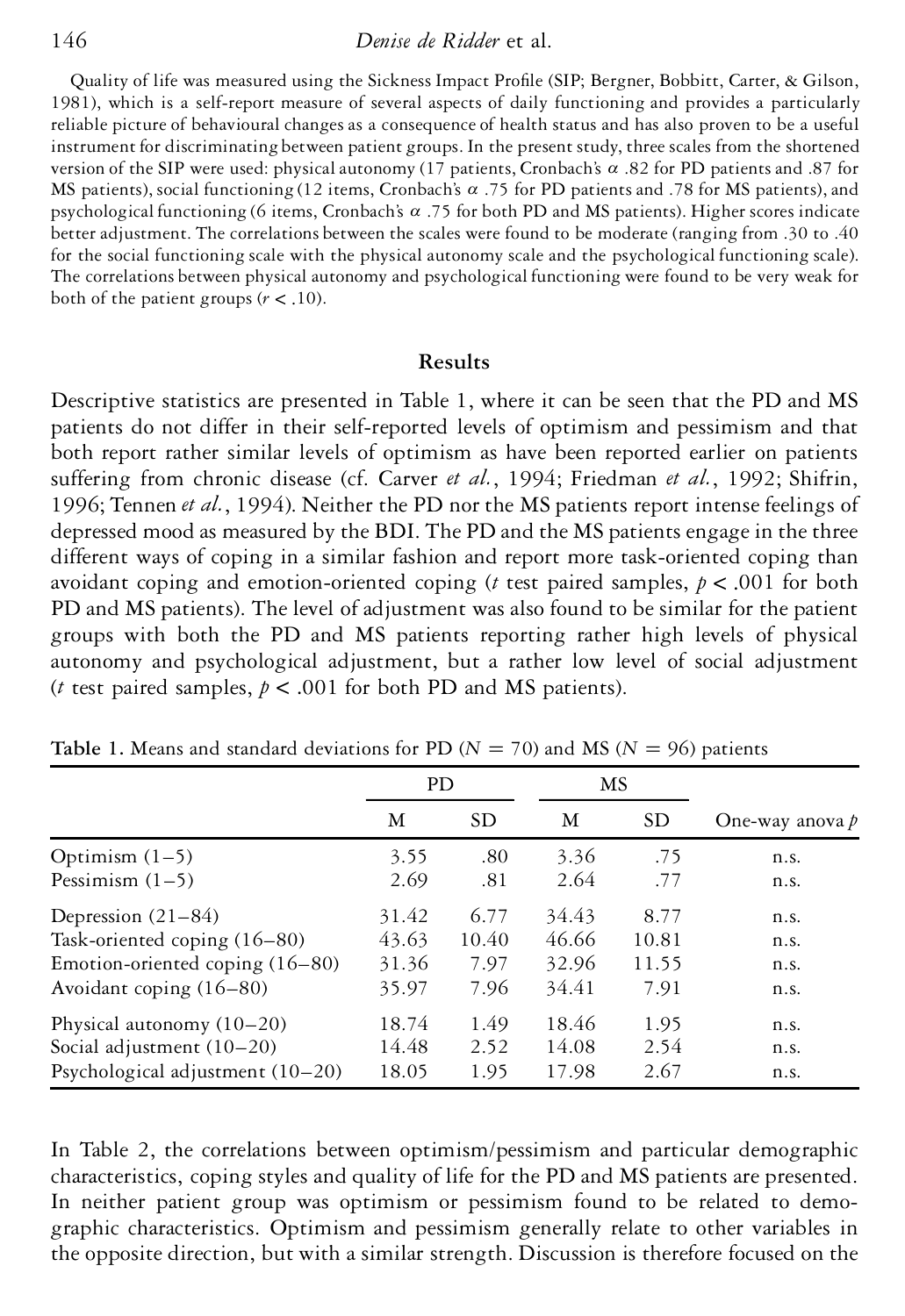Quality of life was measured using the Sickness Impact Profile (SIP; Bergner, Bobbitt, Carter, & Gilson, 1981), which is a self-report measure of several aspects of daily functioning and provides a particularly reliable picture of behavioural changes as a consequence of health status and has also proven to be a useful instrument for discriminating between patient groups. In the present study, three scales from the shortened version of the SIP were used: physicalautonomy (17 patients, Cronbach's *a* .82 for PD patients and .87 for MS patients), social functioning (12 items, Cronbach's *a* .75 for PD patients and .78 for MS patients), and psychological functioning (6 items, Cronbach's *a* .75 for both PD and MS patients). Higher scores indicate better adjustment. The correlations between the scales were found to be moderate (ranging from .30 to .40 for the social functioning scale with the physical autonomy scale and the psychological functioning scale). The correlations between physical autonomy and psychological functioning were found to be very weak for both of the patient groups  $(r < .10)$ .

## **Results**

Descriptive statistics are presented in Table 1, where it can be seen that the PD and MS patients do not differ in their self-reported levels of optimism and pessimism and that both report rather similar levels of optimism as have been reported earlier on patients suffering from chronic disease (cf. Carver *et al.*, 1994; Friedman *et al.*, 1992; Shifrin, 1996; Tennen *et al.*, 1994). Neither the PD nor the MS patients report intense feelings of depressed mood as measured by the BDI. The PD and the MS patients engage in the three different ways of coping in a similar fashion and report more task-oriented coping than avoidant coping and emotion-oriented coping (*t* test paired samples, *p* < .001 for both PD and MS patients). The level of adjustment was also found to be similar for the patient groups with both the PD and MS patients reporting rather high levels of physical autonomy and psychological adjustment, but a rather low level of social adjustment (*t* test paired samples,  $p < .001$  for both PD and MS patients).

|                                    | <b>PD</b> |           | MS    |           |                   |  |
|------------------------------------|-----------|-----------|-------|-----------|-------------------|--|
|                                    | М         | <b>SD</b> | М     | <b>SD</b> | One-way anova $p$ |  |
| Optimism $(1-5)$                   | 3.55      | .80       | 3.36  | .75       | n.s.              |  |
| Pessimism $(1-5)$                  | 2.69      | .81       | 2.64  | .77       | n.s.              |  |
| Depression $(21-84)$               | 31.42     | 6.77      | 34.43 | 8.77      | n.s.              |  |
| Task-oriented coping (16–80)       | 43.63     | 10.40     | 46.66 | 10.81     | n.s.              |  |
| Emotion-oriented coping (16–80)    | 31.36     | 7.97      | 32.96 | 11.55     | n.s.              |  |
| Avoidant coping $(16-80)$          | 35.97     | 7.96      | 34.41 | 7.91      | n.s.              |  |
| Physical autonomy $(10-20)$        | 18.74     | 1.49      | 18.46 | 1.95      | n.s.              |  |
| Social adjustment (10-20)          | 14.48     | 2.52      | 14.08 | 2.54      | n.s.              |  |
| Psychological adjustment $(10-20)$ | 18.05     | 1.95      | 17.98 | 2.67      | n.s.              |  |

**Table** 1. Means and standard deviations for PD ( $N = 70$ ) and MS ( $N = 96$ ) patients

In Table 2, the correlations between optimism/pessimism and particular demographic characteristics, coping styles and quality of life for the PD and MS patients are presented. In neither patient group was optimism or pessimism found to be related to demographic characteristics. Optimism and pessimism generally relate to other variables in the opposite direction, but with a similar strength. Discussion is therefore focused on the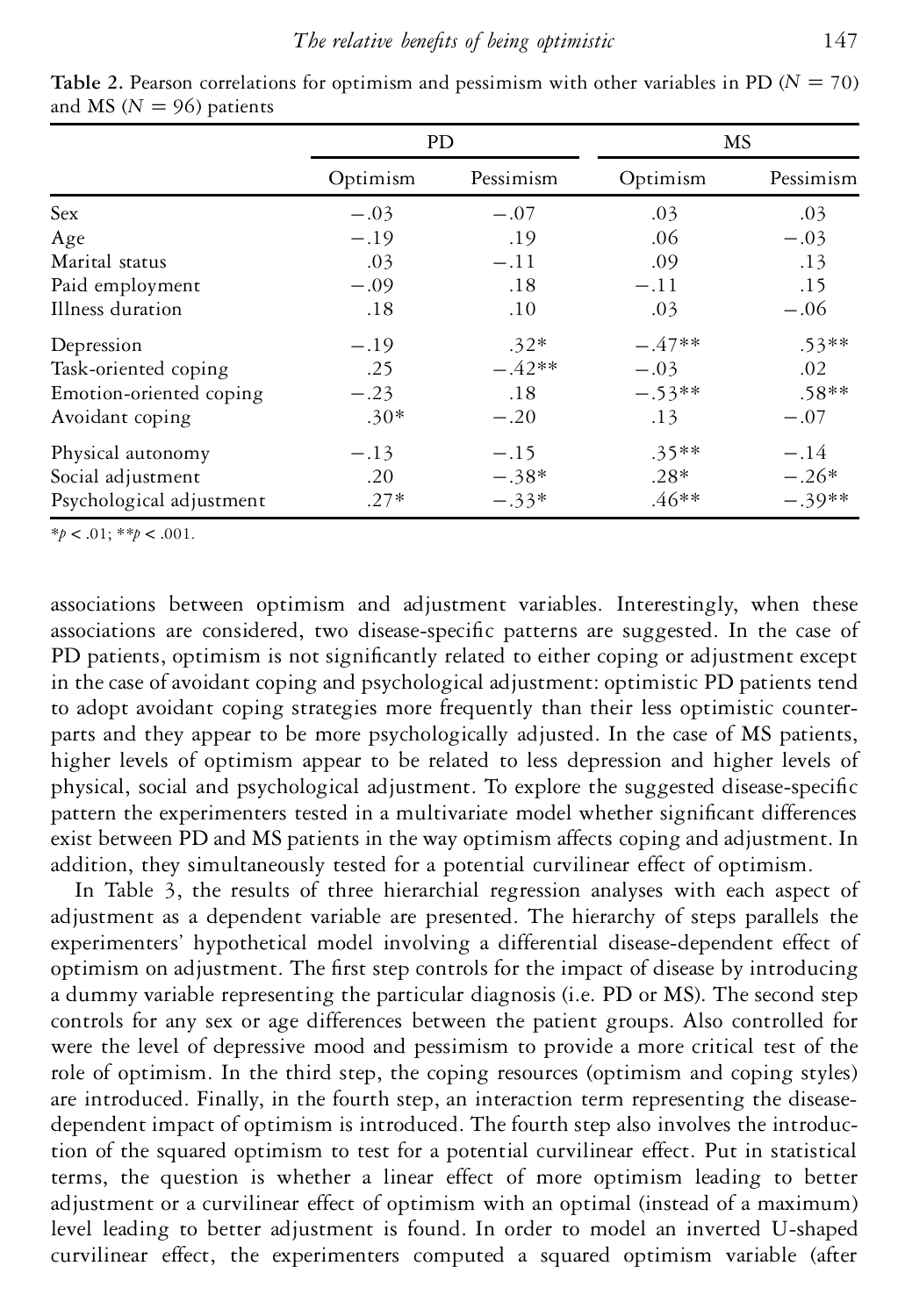|                          | <b>PD</b> |           | MS       |           |  |
|--------------------------|-----------|-----------|----------|-----------|--|
|                          | Optimism  | Pessimism | Optimism | Pessimism |  |
| Sex                      | $-.03$    | $-.07$    | .03      | .03       |  |
| Age                      | $-.19$    | .19       | .06      | $-.03$    |  |
| Marital status           | .03       | $-.11$    | .09      | .13       |  |
| Paid employment          | $-.09$    | .18       | $-.11$   | .15       |  |
| Illness duration         | .18       | .10       | .03      | $-.06$    |  |
| Depression               | $-.19$    | $.32*$    | $-.47**$ | $.53**$   |  |
| Task-oriented coping     | .25       | $-.42**$  | $-.03$   | .02       |  |
| Emotion-oriented coping  | $-.23$    | .18       | $-.53**$ | $.58**$   |  |
| Avoidant coping          | $.30*$    | $-.20$    | .13      | $-.07$    |  |
| Physical autonomy        | $-.13$    | $-.15$    | $.35**$  | $-.14$    |  |
| Social adjustment        | .20       | $-.38*$   | $.28*$   | $-.26*$   |  |
| Psychological adjustment | $.27*$    | $-.33*$   | $.46**$  | $-.39**$  |  |

**Table** 2. Pearson correlations for optimism and pessimism with other variables in PD ( $N = 70$ ) and MS ( $N = 96$ ) patients

 $* p < .01; ** p < .001.$ 

associations between optimism and adjustment variables. Interestingly, when these associations are considered, two disease-specific patterns are suggested. In the case of PD patients, optimism is not significantly related to either coping or adjustment except in the case of avoidant coping and psychological adjustment: optimistic PD patients tend to adopt avoidant coping strategies more frequently than their less optimistic counterparts and they appear to be more psychologically adjusted. In the case of MS patients, higher levels of optimism appear to be related to less depression and higher levels of physical, social and psychological adjustment. To explore the suggested disease-specific pattern the experimenters tested in a multivariate model whether significant differences exist between PD and MS patients in the way optimism affects coping and adjustment. In addition, they simultaneously tested for a potential curvilinear effect of optimism.

In Table 3, the results of three hierarchial regression analyses with each aspect of adjustment as a dependent variable are presented. The hierarchy of steps parallels the experimenters' hypothetical model involving a differential disease-dependent effect of optimism on adjustment. The first step controls for the impact of disease by introducing a dummy variable representing the particular diagnosis (i.e. PD or MS). The second step controls for any sex or age differences between the patient groups. Also controlled for were the level of depressive mood and pessimism to provide a more critical test of the role of optimism. In the third step, the coping resources (optimism and coping styles) are introduced. Finally, in the fourth step, an interaction term representing the diseasedependent impact of optimism is introduced. The fourth step also involves the introduction of the squared optimism to test for a potential curvilinear effect. Put in statistical terms, the question is whether a linear effect of more optimism leading to better adjustment or a curvilinear effect of optimism with an optimal (instead of a maximum) level leading to better adjustment is found. In order to model an inverted U-shaped curvilinear effect, the experimenters computed a squared optimism variable (after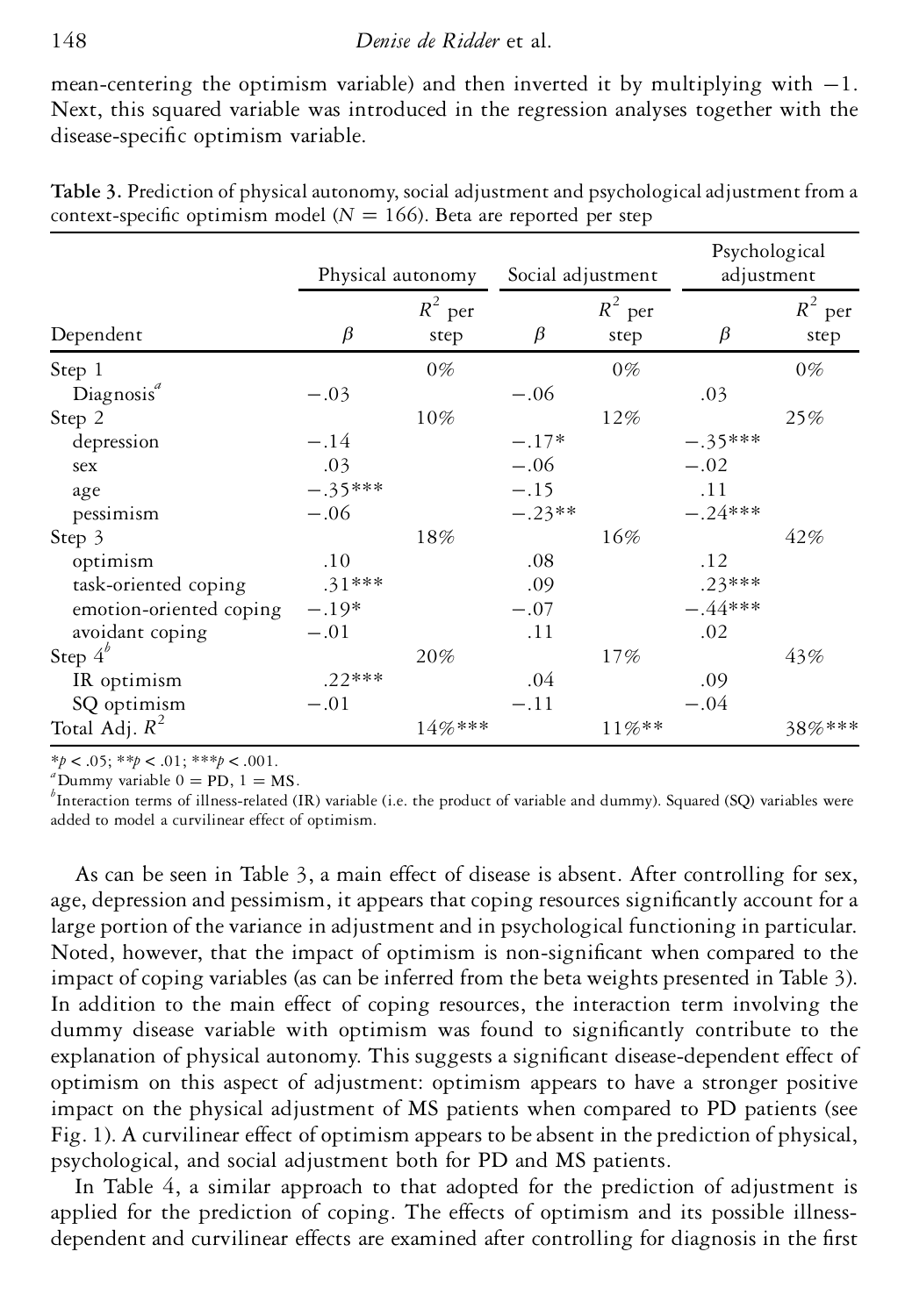mean-centering the optimism variable) and then inverted it by multiplying with  $-1$ . Next, this squared variable was introduced in the regression analyses together with the disease-specific optimism variable.

|                         | Physical autonomy |                   | Social adjustment |                   | Psychological<br>adjustment |                   |
|-------------------------|-------------------|-------------------|-------------------|-------------------|-----------------------------|-------------------|
| Dependent               | $\beta$           | $R^2$ per<br>step | $\beta$           | $R^2$ per<br>step | $\beta$                     | $R^2$ per<br>step |
| Step 1                  |                   | $0\%$             |                   | $0\%$             |                             | $0\%$             |
| Diagnosis <sup>a</sup>  | $-.03$            |                   | $-.06$            |                   | .03                         |                   |
| Step 2                  |                   | $10\%$            |                   | 12%               |                             | 25%               |
| depression              | $-.14$            |                   | $-.17*$           |                   | $-.35***$                   |                   |
| sex                     | .03               |                   | $-.06$            |                   | $-.02$                      |                   |
| age                     | $-.35***$         |                   | $-.15$            |                   | .11                         |                   |
| pessimism               | $-.06$            |                   | $-.23**$          |                   | $-.24***$                   |                   |
| Step 3                  |                   | 18%               |                   | 16%               |                             | 42%               |
| optimism                | .10               |                   | .08               |                   | .12                         |                   |
| task-oriented coping    | $.31***$          |                   | .09               |                   | $.23***$                    |                   |
| emotion-oriented coping | $-.19*$           |                   | $-.07$            |                   | $-.44***$                   |                   |
| avoidant coping         | $-.01$            |                   | .11               |                   | .02                         |                   |
| Step $4^b$              |                   | 20%               |                   | 17%               |                             | 43%               |
| IR optimism             | $.22***$          |                   | .04               |                   | .09                         |                   |
| SQ optimism             | $-.01$            |                   | $-.11$            |                   | $-.04$                      |                   |
| Total Adj. $R^2$        |                   | 14%***            |                   | 11%**             |                             | 38%***            |

**Table 3.** Prediction of physical autonomy, social adjustment and psychologicaladjustment from a context-specific optimism model ( $N = 166$ ). Beta are reported per step

 $*p < .05; **p < .01; ***p < .001$ .<br><sup>*a*</sup>Dummy variable 0 = PD, 1 = MS.<br><sup>*b*</sup>Interaction terms of illness-related (IR) variable (i.e. the product of variable and dummy). Squared (SQ) variables were added to model a curvilinear effect of optimism.

As can be seen in Table 3, a main effect of disease is absent. After controlling for sex, age, depression and pessimism, it appears that coping resources significantly account for a large portion of the variance in adjustment and in psychological functioning in particular. Noted, however, that the impact of optimism is non-significant when compared to the impact of coping variables (as can be inferred from the beta weights presented in Table 3). In addition to the main effect of coping resources, the interaction term involving the dummy disease variable with optimism was found to significantly contribute to the explanation of physical autonomy. This suggests a significant disease-dependent effect of optimism on this aspect of adjustment: optimism appears to have a stronger positive impact on the physical adjustment of MS patients when compared to PD patients (see Fig. 1). A curvilinear effect of optimism appears to be absent in the prediction of physical, psychological, and social adjustment both for PD and MS patients.

In Table 4, a similar approach to that adopted for the prediction of adjustment is applied for the prediction of coping. The effects of optimism and its possible illnessdependent and curvilinear effects are examined after controlling for diagnosis in the first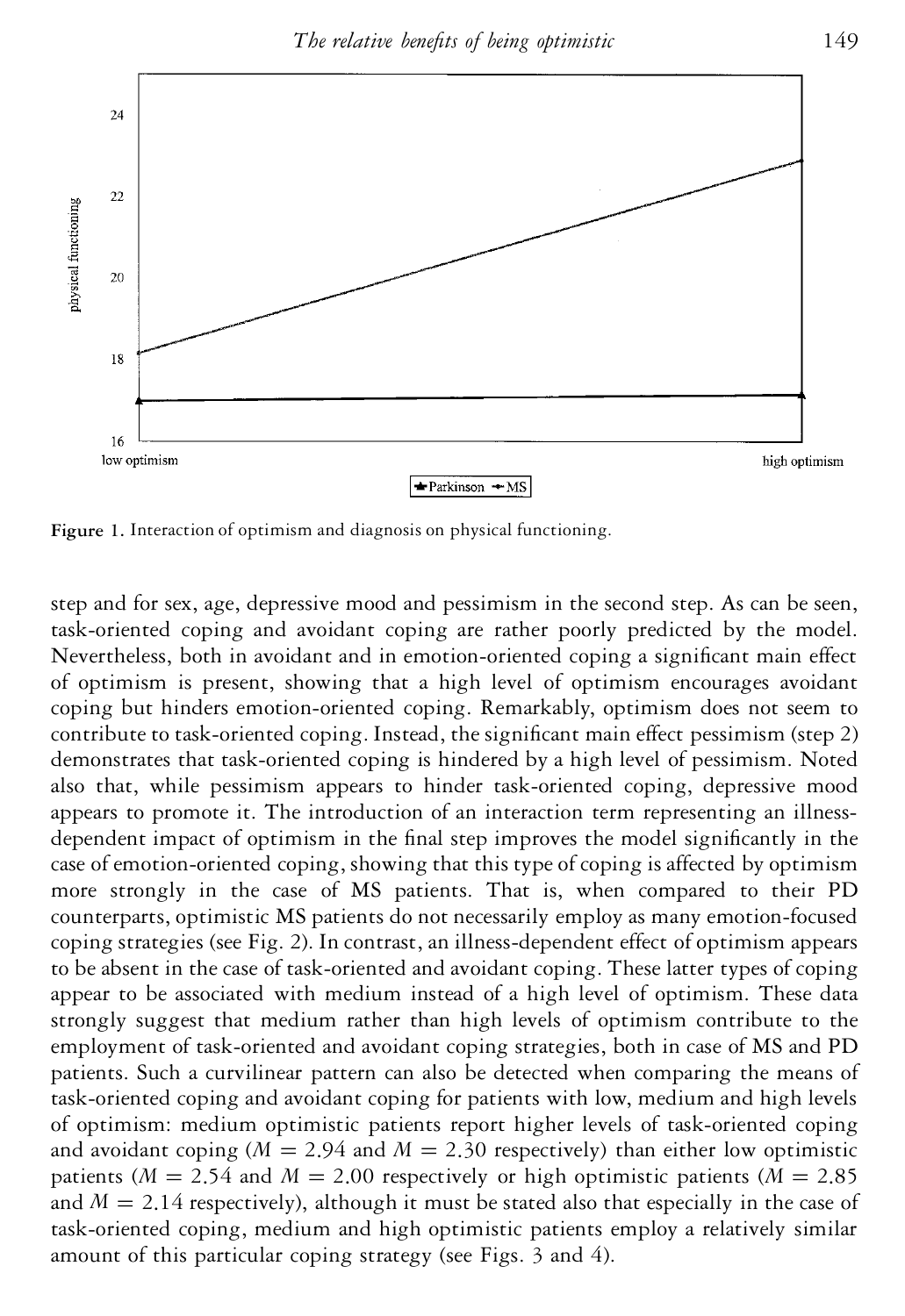

**Figure 1.** Interaction of optimism and diagnosis on physical functioning.

step and for sex, age, depressive mood and pessimism in the second step. As can be seen, task-oriented coping and avoidant coping are rather poorly predicted by the model. Nevertheless, both in avoidant and in emotion-oriented coping a significant main effect of optimism is present, showing that a high level of optimism encourages avoidant coping but hinders emotion-oriented coping. Remarkably, optimism does not seem to contribute to task-oriented coping. Instead, the significant main effect pessimism (step 2) demonstrates that task-oriented coping is hindered by a high level of pessimism. Noted also that, while pessimism appears to hinder task-oriented coping, depressive mood appears to promote it. The introduction of an interaction term representing an illnessdependent impact of optimism in the final step improves the model significantly in the case of emotion-oriented coping, showing that this type of coping is affected by optimism more strongly in the case of MS patients. That is, when compared to their PD counterparts, optimistic MS patients do not necessarily employ as many emotion-focused coping strategies (see Fig. 2). In contrast, an illness-dependent effect of optimism appears to be absent in the case of task-oriented and avoidant coping. These latter types of coping appear to be associated with medium instead of a high level of optimism. These data strongly suggest that medium rather than high levels of optimism contribute to the employment of task-oriented and avoidant coping strategies, both in case of MS and PD patients. Such a curvilinear pattern can also be detected when comparing the means of task-oriented coping and avoidant coping for patients with low, medium and high levels of optimism: medium optimistic patients report higher levels of task-oriented coping and avoidant coping  $(M = 2.94$  and  $M = 2.30$  respectively) than either low optimistic patients ( $M = 2.54$  and  $M = 2.00$  respectively or high optimistic patients ( $M = 2.85$ ) and  $M = 2.14$  respectively), although it must be stated also that especially in the case of task-oriented coping, medium and high optimistic patients employ a relatively similar amount of this particular coping strategy (see Figs. 3 and 4).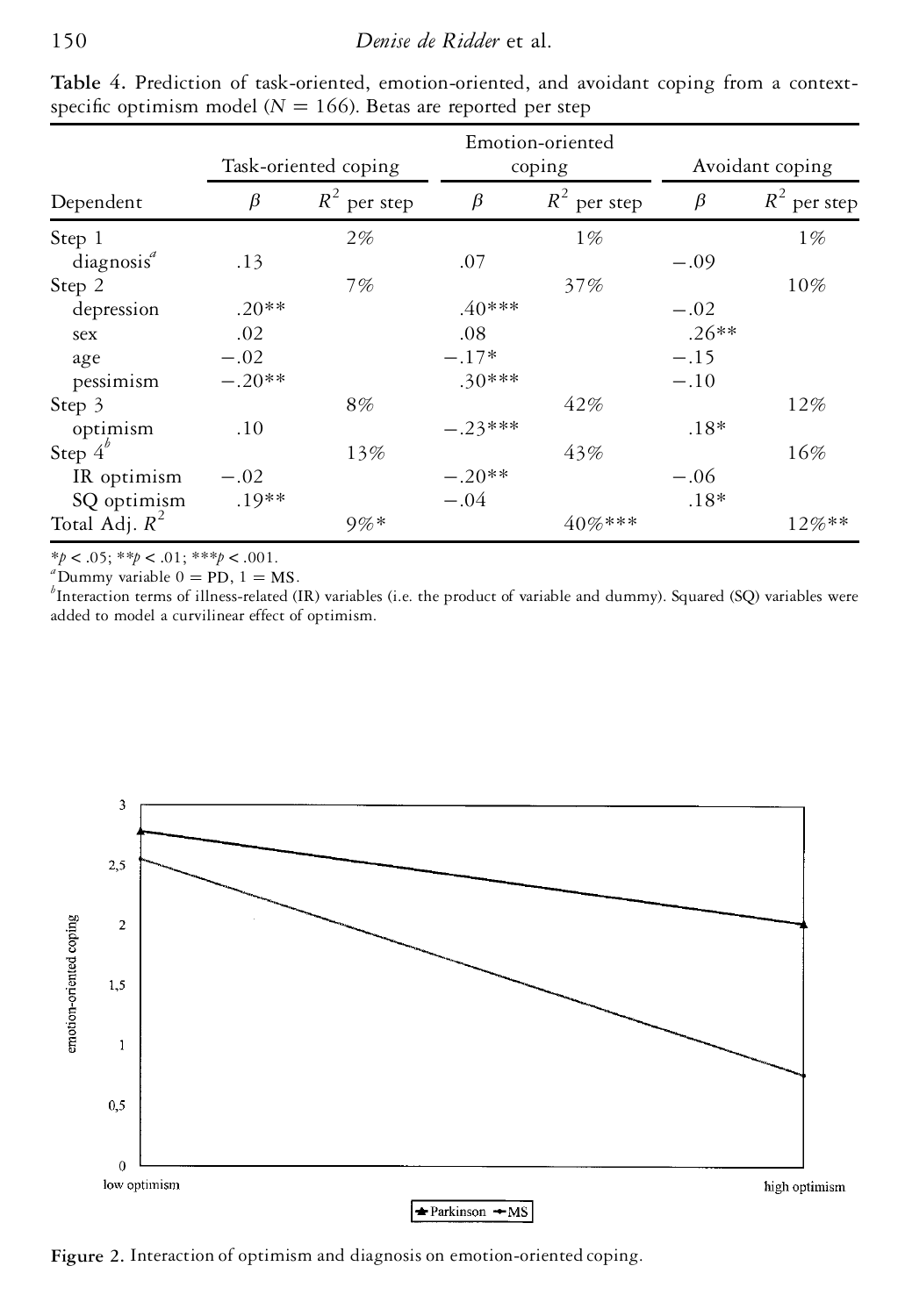|                        | Task-oriented coping |                | Emotion-oriented<br>coping |                | Avoidant coping |                |
|------------------------|----------------------|----------------|----------------------------|----------------|-----------------|----------------|
| Dependent              | $\beta$              | $R^2$ per step | $\beta$                    | $R^2$ per step | $\beta$         | $R^2$ per step |
| Step 1                 |                      | 2%             |                            | $1\%$          |                 | $1\%$          |
| diagnosis <sup>a</sup> | .13                  |                | .07                        |                | $-.09$          |                |
| Step 2                 |                      | 7%             |                            | 37%            |                 | 10%            |
| depression             | $.20**$              |                | $.40***$                   |                | $-.02$          |                |
| sex                    | .02                  |                | .08                        |                | $.26**$         |                |
| age                    | $-.02$               |                | $-.17*$                    |                | $-.15$          |                |
| pessimism              | $-.20**$             |                | $.30***$                   |                | $-.10$          |                |
| Step 3                 |                      | 8%             |                            | 42%            |                 | 12%            |
| optimism               | .10                  |                | $-.23***$                  |                | $.18*$          |                |
| Step $4^b$             |                      | 13%            |                            | 43%            |                 | 16%            |
| IR optimism            | $-.02$               |                | $-.20**$                   |                | $-.06$          |                |
| SQ optimism            | $.19**$              |                | $-.04$                     |                | $.18*$          |                |
| Total Adj. $R^2$       |                      | $9\%*$         |                            | 40%***         |                 | $12\%**$       |

**Table 4.** Prediction of task-oriented, emotion-oriented, and avoidant coping from a contextspecific optimism model ( $N = 166$ ). Betas are reported per step

 $*p < .05; **p < .01; ***p < .001$ .<br><sup>*a*</sup>Dummy variable 0 = PD, 1 = MS.<br><sup>*b*</sup>Interaction terms of illness-related (IR) variables (i.e. the product of variable and dummy). Squared (SQ) variables were added to model a curvilinear effect of optimism.



**Figure 2.** Interaction of optimism and diagnosis on emotion-oriented coping.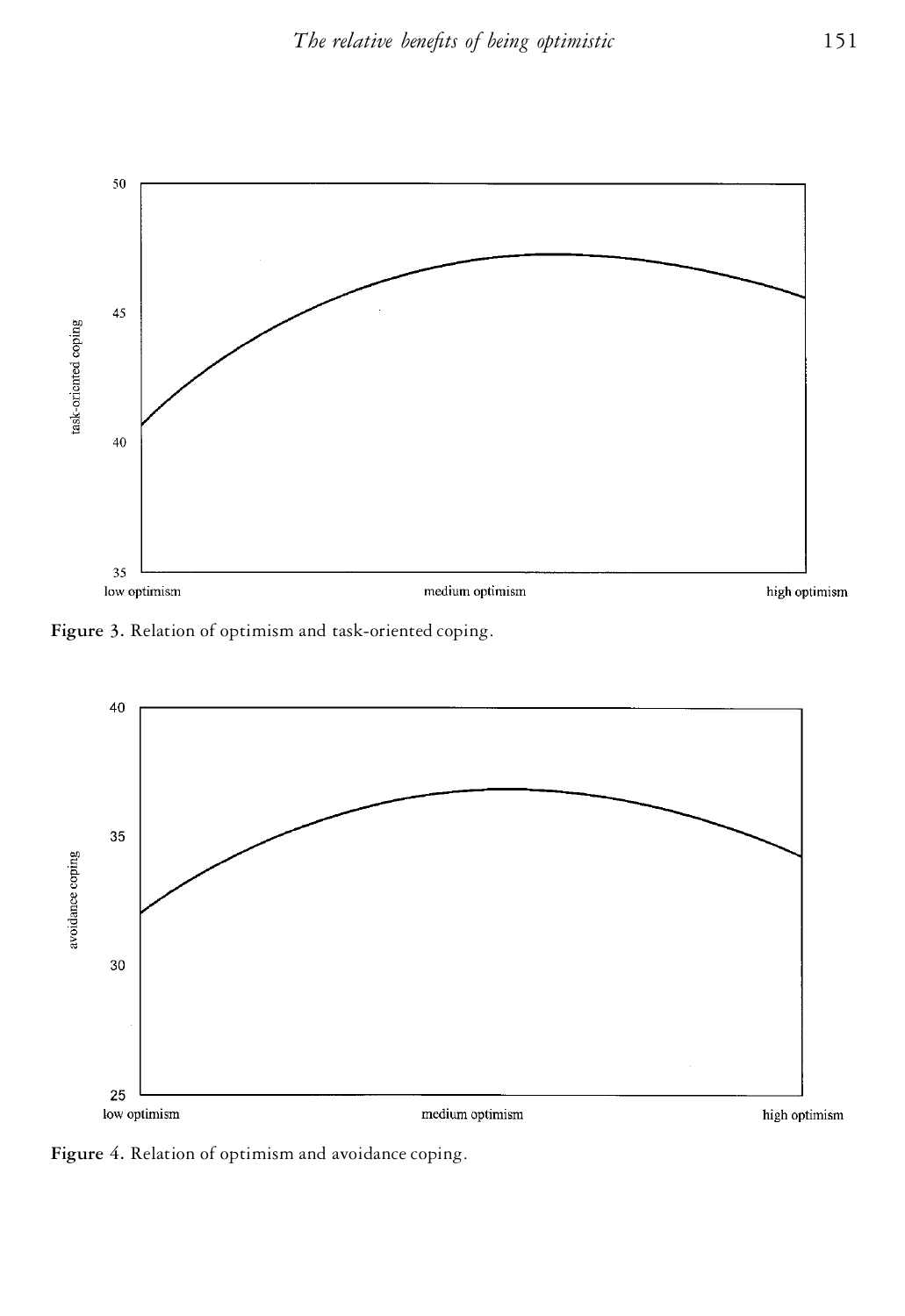

**Figure 3.** Relation of optimism and task-oriented coping.



**Figure 4.** Relation of optimism and avoidance coping.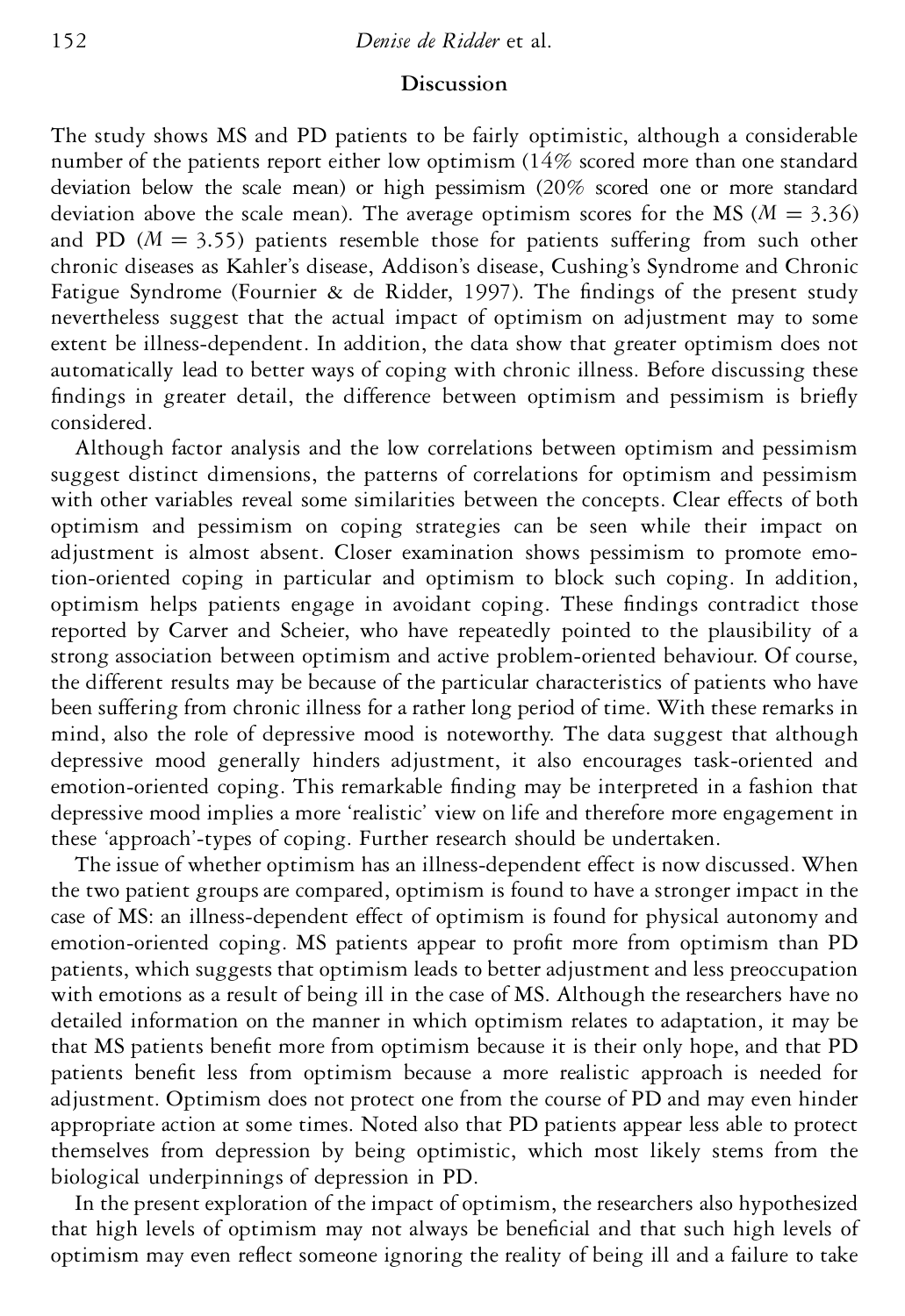## **Discussion**

The study shows MS and PD patients to be fairly optimistic, although a considerable number of the patients report either low optimism (14% scored more than one standard deviation below the scale mean) or high pessimism (20% scored one or more standard deviation above the scale mean). The average optimism scores for the MS ( $M = 3.36$ ) and PD  $(M = 3.55)$  patients resemble those for patients suffering from such other chronic diseases as Kahler's disease, Addison's disease, Cushing's Syndrome and Chronic Fatigue Syndrome (Fournier  $\&$  de Ridder, 1997). The findings of the present study nevertheless suggest that the actual impact of optimism on adjustment may to some extent be illness-dependent. In addition, the data show that greater optimism does not automatically lead to better ways of coping with chronic illness. Before discussing these findings in greater detail, the difference between optimism and pessimism is briefly considered.

Although factor analysis and the low correlations between optimism and pessimism suggest distinct dimensions, the patterns of correlations for optimism and pessimism with other variables reveal some similarities between the concepts. Clear effects of both optimism and pessimism on coping strategies can be seen while their impact on adjustment is almost absent. Closer examination shows pessimism to promote emotion-oriented coping in particular and optimism to block such coping. In addition, optimism helps patients engage in avoidant coping. These findings contradict those reported by Carver and Scheier, who have repeatedly pointed to the plausibility of a strong association between optimism and active problem-oriented behaviour. Of course, the different results may be because of the particular characteristics of patients who have been suffering from chronic illness for a rather long period of time. With these remarks in mind, also the role of depressive mood is noteworthy. The data suggest that although depressive mood generally hinders adjustment, it also encourages task-oriented and emotion-oriented coping. This remarkable finding may be interpreted in a fashion that depressive mood implies a more 'realistic' view on life and therefore more engagement in these 'approach'-types of coping. Further research should be undertaken.

The issue of whether optimism has an illness-dependent effect is now discussed. When the two patient groupsare compared, optimism is found to have a stronger impact in the case of MS: an illness-dependent effect of optimism is found for physical autonomy and emotion-oriented coping. MS patients appear to profit more from optimism than PD patients, which suggests that optimism leads to better adjustment and less preoccupation with emotions as a result of being ill in the case of MS. Although the researchers have no detailed information on the manner in which optimism relates to adaptation, it may be that MS patients benefit more from optimism because it is their only hope, and that PD patients benefit less from optimism because a more realistic approach is needed for adjustment. Optimism does not protect one from the course of PD and may even hinder appropriate action at some times. Noted also that PD patients appear less able to protect themselves from depression by being optimistic, which most likely stems from the biological underpinnings of depression in PD.

In the present exploration of the impact of optimism, the researchers also hypothesized that high levels of optimism may not always be beneficial and that such high levels of optimism may even reflect someone ignoring the reality of being ill and a failure to take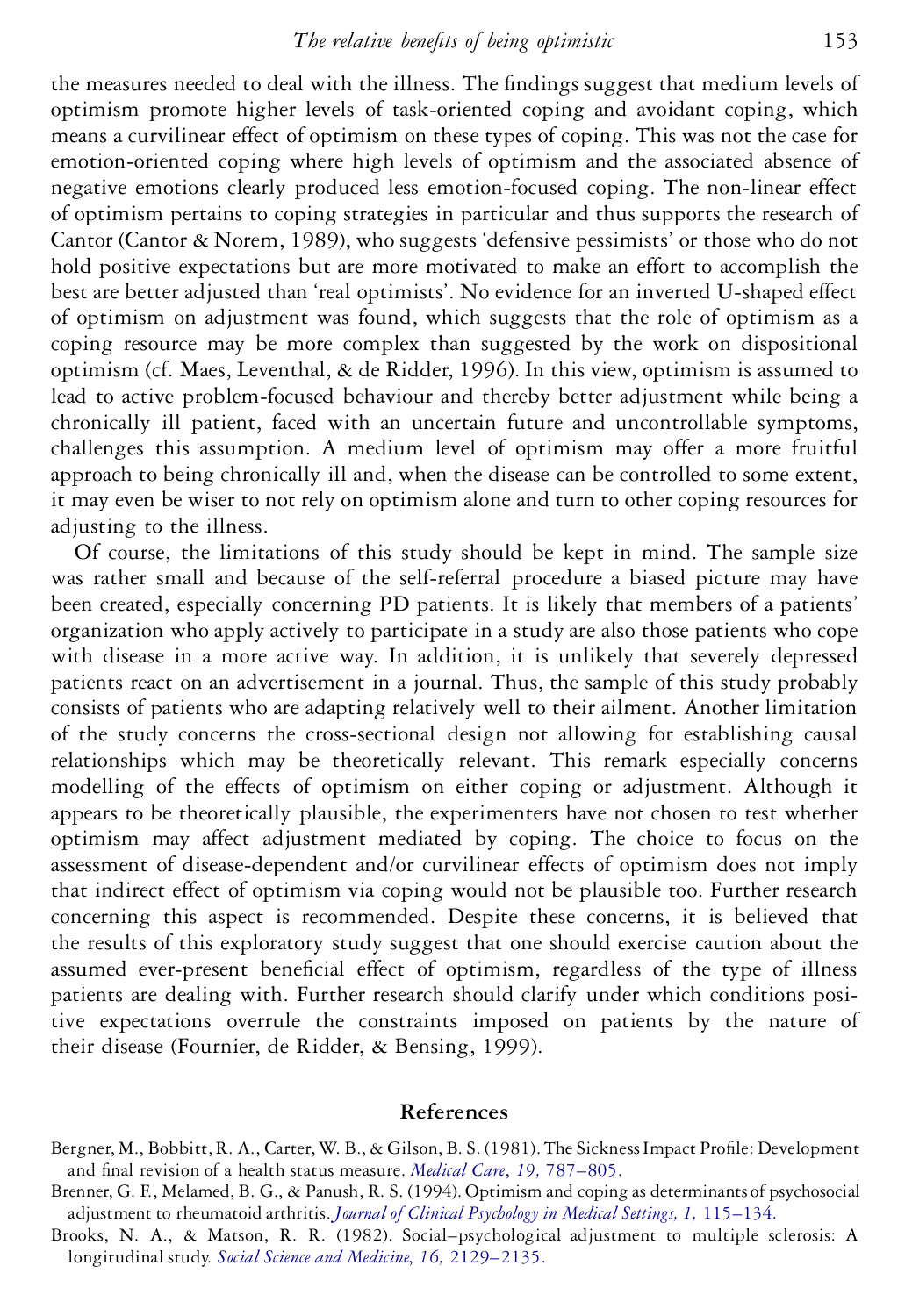the measures needed to deal with the illness. The findings suggest that medium levels of optimism promote higher levels of task-oriented coping and avoidant coping, which means a curvilinear effect of optimism on these types of coping. This was not the case for emotion-oriented coping where high levels of optimism and the associated absence of negative emotions clearly produced less emotion-focused coping. The non-linear effect of optimism pertains to coping strategies in particular and thus supports the research of Cantor (Cantor & Norem, 1989), who suggests 'defensive pessimists' or those who do not hold positive expectations but are more motivated to make an effort to accomplish the best are better adjusted than 'real optimists'. No evidence for an inverted U-shaped effect of optimism on adjustment was found, which suggests that the role of optimism as a coping resource may be more complex than suggested by the work on dispositional optimism (cf. Maes, Leventhal, & de Ridder, 1996). In this view, optimism is assumed to lead to active problem-focused behaviour and thereby better adjustment while being a chronically ill patient, faced with an uncertain future and uncontrollable symptoms, challenges this assumption. A medium level of optimism may offer a more fruitful approach to being chronically ill and, when the disease can be controlled to some extent, it may even be wiser to not rely on optimism alone and turn to other coping resources for adjusting to the illness.

Of course, the limitations of this study should be kept in mind. The sample size was rather small and because of the self-referral procedure a biased picture may have been created, especially concerning PD patients. It is likely that members of a patients' organization who apply actively to participate in a study are also those patients who cope with disease in a more active way. In addition, it is unlikely that severely depressed patients react on an advertisement in a journal. Thus, the sample of this study probably consists of patients who are adapting relatively well to their ailment. Another limitation of the study concerns the cross-sectional design not allowing for establishing causal relationships which may be theoretically relevant. This remark especially concerns modelling of the effects of optimism on either coping or adjustment. Although it appears to be theoretically plausible, the experimenters have not chosen to test whether optimism may affect adjustment mediated by coping. The choice to focus on the assessment of disease-dependent and/or curvilinear effects of optimism does not imply that indirect effect of optimism via coping would not be plausible too. Further research concerning this aspect is recommended. Despite these concerns, it is believed that the results of this exploratory study suggest that one should exercise caution about the assumed ever-present beneficial effect of optimism, regardless of the type of illness patients are dealing with. Further research should clarify under which conditions positive expectations overrule the constraints imposed on patients by the nature of their disease (Fournier, de Ridder, & Bensing, 1999).

## **References**

- Bergner, M., Bobbitt, R. A., Carter, W. B., & Gilson, B. S. (1981). The Sickness Impact Profile: Development and final revision of a health status measure. *Medical Care*, 19, 787-805.
- Brenner, G. F., Melamed, B. G., & Panush, R. S. (1994). Optimism and coping as determinants of psychosocial adjustment to rheumatoid arthritis.*Journal of Clinical Psychology in Medical Settings, 1,* [115–134.](http://www.ingentaconnect.com/content/external-references?article=/1068-9583^28^291L.115[aid=22487])
- Brooks, N. A., & Matson, R. R. (1982). Social–psychological adjustment to multiple sclerosis: A longitudinal study. *Social Science and Medicine*, *16,* [2129–2135.](http://www.ingentaconnect.com/content/external-references?article=/0277-9536^28^2916L.2129[aid=22488,nlm=7157043])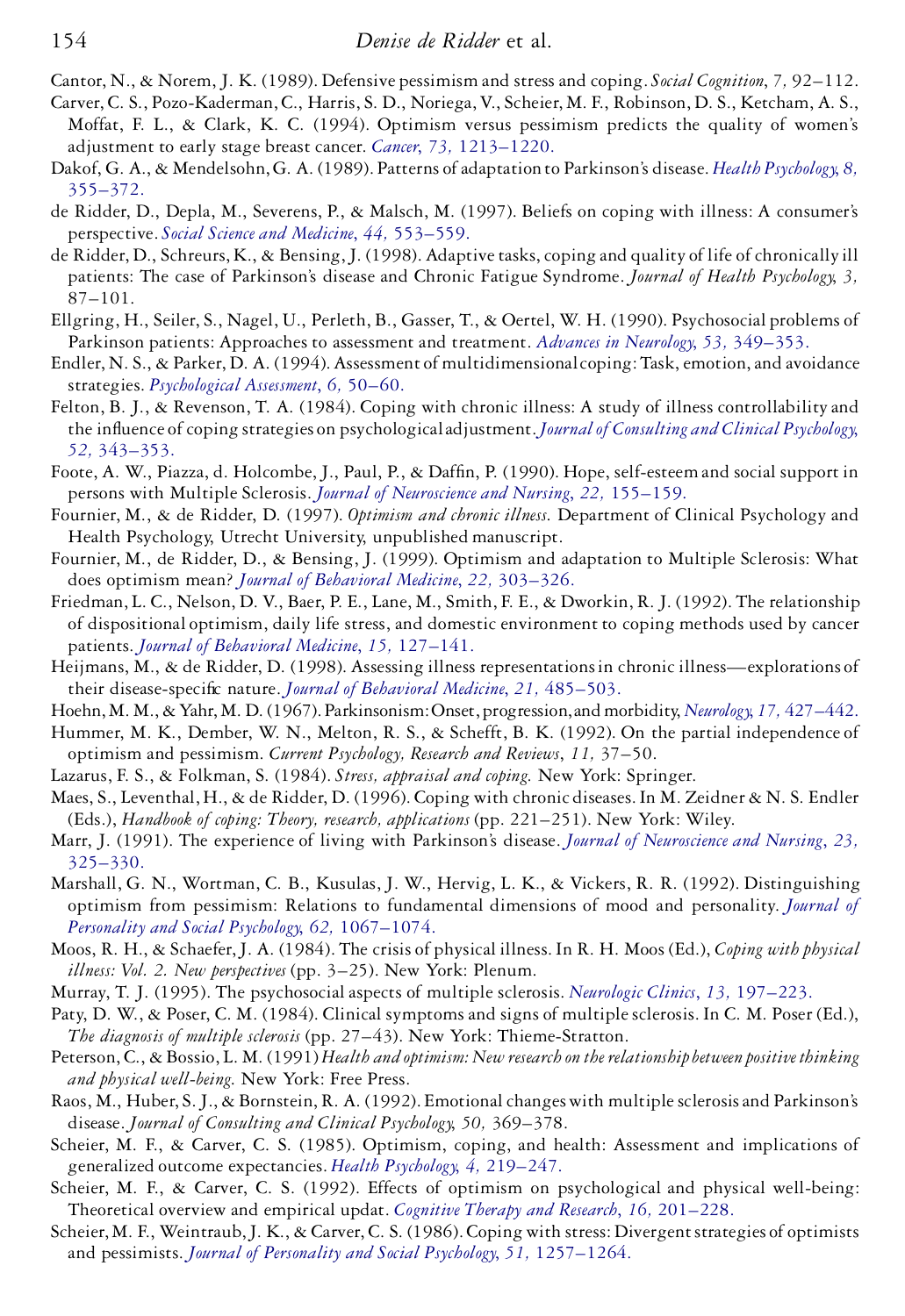Cantor, N., & Norem, J. K. (1989). Defensive pessimism and stress and coping. *Social Cognition*, *7,* 92–112.

- Carver, C. S., Pozo-Kaderman,C., Harris, S. D., Noriega,V., Scheier, M. F., Robinson, D. S., Ketcham, A. S., Moffat, F. L., & Clark, K. C. (1994). Optimism versus pessimism predicts the quality of women's adjustment to early stage breast cancer. *Cancer*, *73,* [1213–1220.](http://www.ingentaconnect.com/content/external-references?article=/0008-543X^28^2973L.1213[aid=22490,csa=0008-543X^26vol=73^26iss=4^26firstpage=1213])
- Dakof, G. A., & Mendelsohn,G. A. (1989). Patterns of adaptation to Parkinson's disease. *Health [Psychology](http://www.ingentaconnect.com/content/external-references?article=/0278-6133^28^298L.355[aid=22491,nlm=2767024])*, *8,* [355–372.](http://www.ingentaconnect.com/content/external-references?article=/0278-6133^28^298L.355[aid=22491,nlm=2767024])
- de Ridder, D., Depla, M., Severens, P., & Malsch, M. (1997). Beliefs on coping with illness: A consumer's perspective. *Social Science and Medicine*, *44,* [553–559.](http://www.ingentaconnect.com/content/external-references?article=/0277-9536^28^2944L.553[aid=22492,csa=0277-9536^26vol=44^26iss=5^26firstpage=553,nlm=9032823])
- de Ridder, D., Schreurs, K., & Bensing, J. (1998). Adaptive tasks, coping and quality of life of chronically ill patients: The case of Parkinson's disease and Chronic Fatigue Syndrome. *Journal of Health Psychology*, *3,* 87–101.
- Ellgring, H., Seiler, S., Nagel, U., Perleth, B., Gasser, T., & Oertel, W. H. (1990). Psychosocial problems of Parkinson patients: Approaches to assessment and treatment. *Advances in Neurology*, *53,* [349–353.](http://www.ingentaconnect.com/content/external-references?article=/0091-3952^28^2953L.349[aid=22494,csa=0091-3952^26vol=53^26iss=^26firstpage=349,nlm=2239476])
- Endler, N. S., & Parker, D. A. (1994). Assessment of multidimensionalcoping: Task, emotion, and avoidance strategies. *[Psychological](http://www.ingentaconnect.com/content/external-references?article=/1040-3590^28^296L.50[aid=22495]) Assessment*, *6,* 50–60.
- Felton, B. J., & Revenson, T. A. (1984). Coping with chronic illness: A study of illness controllability and the influence of coping strategies on psychological adjustment. *Journal of [Consulting](http://www.ingentaconnect.com/content/external-references?article=/0022-006X^28^2952L.343[aid=22496]) and Clinical Psychology*, *52,* [343–353.](http://www.ingentaconnect.com/content/external-references?article=/0022-006X^28^2952L.343[aid=22496])
- Foote, A. W., Piazza, d. Holcombe, J., Paul, P., & Daffin, P. (1990). Hope, self-esteem and social support in persons with Multiple Sclerosis. *Journal of [Neuroscience](http://www.ingentaconnect.com/content/external-references?article=/0888-0395^28^2922L.155[aid=22497,csa=0888-0395^26vol=22^26iss=3^26firstpage=155,nlm=2142187]) and Nursing*, *22,* 155–159.
- Fournier, M., & de Ridder, D. (1997). *Optimism and chronic illness*. Department of Clinical Psychology and Health Psychology, Utrecht University, unpublished manuscript.
- Fournier, M., de Ridder, D., & Bensing, J. (1999). Optimism and adaptation to Multiple Sclerosis: What does optimism mean? *Journal of [Behavioral](http://www.ingentaconnect.com/content/external-references?article=/0160-7715^28^2922L.303[aid=22498,csa=0160-7715^26vol=22^26iss=4^26firstpage=303,cw=1,nlm=10495965]) Medicine*, *22,* 303–326.
- Friedman, L. C., Nelson, D. V., Baer, P. E., Lane, M., Smith, F. E., & Dworkin, R. J. (1992). The relationship of dispositional optimism, daily life stress, and domestic environment to coping methods used by cancer patients. *Journal of [Behavioral](http://www.ingentaconnect.com/content/external-references?article=/0160-7715^28^2915L.127[aid=22499,csa=0160-7715^26vol=15^26iss=2^26firstpage=127,nlm=1583677]) Medicine*, *15,* 127–141.
- Heijmans, M., & de Ridder, D. (1998). Assessing illness representations in chronic illness—explorations of their disease-specific nature. *Journal of [Behavioral](http://www.ingentaconnect.com/content/external-references?article=/0160-7715^28^2921L.485[aid=22500,csa=0160-7715^26vol=21^26iss=5^26firstpage=485,cw=1,nlm=9836133]) Medicine*, 21, 485-503.
- Hoehn, M. M., & Yahr, M. D. (1967). Parkinsonism: Onset, progression, and morbidity, *Neurology*, 17, [427–442.](http://www.ingentaconnect.com/content/external-references?article=/0028-3878^28^2917L.427[aid=22501,nlm=6067254])
- Hummer, M. K., Dember, W. N., Melton, R. S., & Schefft, B. K. (1992). On the partial independence of optimism and pessimism. *Current Psychology, Research and Reviews*, *11,* 37–50.
- Lazarus, F. S., & Folkman, S. (1984). *Stress, appraisal and coping*. New York: Springer.
- Maes, S., Leventhal, H., & de Ridder, D. (1996). Coping with chronic diseases. In M. Zeidner & N. S. Endler (Eds.), *Handbook of coping: Theory, research, applications* (pp. 221–251). New York: Wiley.
- Marr, J. (1991). The experience of living with Parkinson's disease. *Journal of [Neuroscience](http://www.ingentaconnect.com/content/external-references?article=/0888-0395^28^2923L.325[aid=22503,csa=0888-0395^26vol=23^26iss=5^26firstpage=325,nlm=1835998]) and Nursing*, *23,* [325–330.](http://www.ingentaconnect.com/content/external-references?article=/0888-0395^28^2923L.325[aid=22503,csa=0888-0395^26vol=23^26iss=5^26firstpage=325,nlm=1835998])
- Marshall, G. N., Wortman, C. B., Kusulas, J. W., Hervig, L. K., & Vickers, R. R. (1992). Distinguishing optimism from pessimism: Relations to fundamental dimensions of mood and personality. *[Journal](http://www.ingentaconnect.com/content/external-references?article=/0022-3514^28^2962L.1067[aid=22504]) of Personality and Social Psychology*, *62,* [1067–1074.](http://www.ingentaconnect.com/content/external-references?article=/0022-3514^28^2962L.1067[aid=22504])
- Moos, R. H., & Schaefer,J. A. (1984). The crisis of physical illness. In R. H. Moos (Ed.), *Coping with physical illness: Vol. 2. New perspectives* (pp. 3–25). New York: Plenum.
- Murray, T. J. (1995). The psychosocial aspects of multiple sclerosis. *Neurologic Clinics*, *13,* [197–223.](http://www.ingentaconnect.com/content/external-references?article=/0733-8619^28^2913L.197[aid=22505,csa=0733-8619^26vol=13^26iss=1^26firstpage=197,nlm=7739503])
- Paty, D. W., & Poser, C. M. (1984). Clinical symptoms and signs of multiplesclerosis. In C. M. Poser (Ed.), *The diagnosis of multiple sclerosis* (pp. 27–43). New York: Thieme-Stratton.
- Peterson, C., & Bossio, L. M. (1991) *Health and optimism: New research on the relationshipbetween positive thinking and physical well-being*. New York: Free Press.
- Raos, M., Huber, S. J., & Bornstein, R. A. (1992). Emotional changes with multiple sclerosis and Parkinson's disease. *Journal of Consulting and Clinical Psychology*, *50,* 369–378.
- Scheier, M. F., & Carver, C. S. (1985). Optimism, coping, and health: Assessment and implications of generalized outcome expectancies. *Health Psychology*, *4,* [219–247.](http://www.ingentaconnect.com/content/external-references?article=/0278-6133^28^294L.219[aid=22507,nlm=4029106])
- Scheier, M. F., & Carver, C. S. (1992). Effects of optimism on psychological and physical well-being: Theoretical overview and empirical updat. *Cognitive Therapy and Research*, *16,* [201–228.](http://www.ingentaconnect.com/content/external-references?article=/0147-5916^28^2916L.201[aid=21687])
- Scheier, M. F., Weintraub, J. K., & Carver, C. S. (1986). Coping with stress: Divergent strategies of optimists and pessimists. *Journal of Personality and Social Psychology*, *51,* [1257–1264.](http://www.ingentaconnect.com/content/external-references?article=/0022-3514^28^2951L.1257[aid=22508,nlm=3806361])